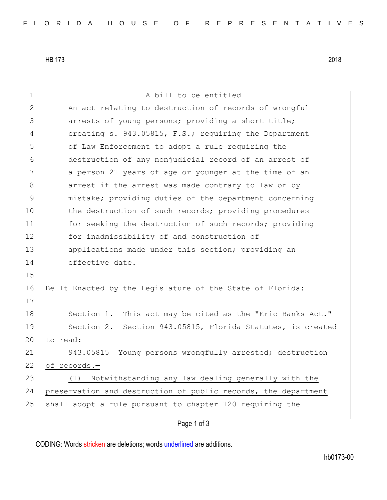HB 173 2018

1 a bill to be entitled 2 An act relating to destruction of records of wrongful 3 3 3 3 arrests of young persons; providing a short title; 4 creating s. 943.05815, F.S.; requiring the Department 5 of Law Enforcement to adopt a rule requiring the 6 destruction of any nonjudicial record of an arrest of 7 a person 21 years of age or younger at the time of an 8 arrest if the arrest was made contrary to law or by 9 mistake; providing duties of the department concerning 10 the destruction of such records; providing procedures 11 for seeking the destruction of such records; providing 12 for inadmissibility of and construction of 13 applications made under this section; providing an 14 effective date. 15 16 Be It Enacted by the Legislature of the State of Florida: 17 18 Section 1. This act may be cited as the "Eric Banks Act." 19 Section 2. Section 943.05815, Florida Statutes, is created 20 to read: 21 943.05815 Young persons wrongfully arrested; destruction 22 of records.-23 (1) Notwithstanding any law dealing generally with the 24 preservation and destruction of public records, the department 25 shall adopt a rule pursuant to chapter 120 requiring the

Page 1 of 3

CODING: Words stricken are deletions; words underlined are additions.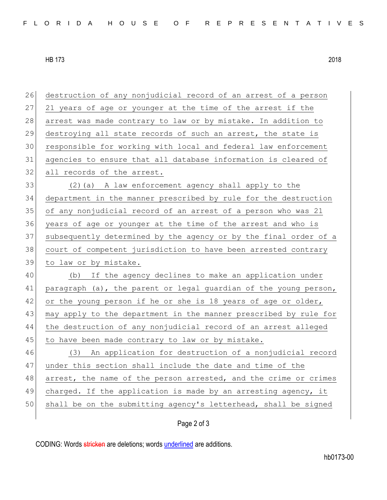HB 173 2018

 destruction of any nonjudicial record of an arrest of a person 27 21 years of age or younger at the time of the arrest if the 28 arrest was made contrary to law or by mistake. In addition to destroying all state records of such an arrest, the state is responsible for working with local and federal law enforcement agencies to ensure that all database information is cleared of 32 all records of the arrest. (2)(a) A law enforcement agency shall apply to the department in the manner prescribed by rule for the destruction of any nonjudicial record of an arrest of a person who was 21 years of age or younger at the time of the arrest and who is subsequently determined by the agency or by the final order of a court of competent jurisdiction to have been arrested contrary to law or by mistake. (b) If the agency declines to make an application under 41 paragraph (a), the parent or legal guardian of the young person, 42 or the young person if he or she is 18 years of age or older, may apply to the department in the manner prescribed by rule for 44 | the destruction of any nonjudicial record of an arrest alleged 45 to have been made contrary to law or by mistake. (3) An application for destruction of a nonjudicial record under this section shall include the date and time of the 48 arrest, the name of the person arrested, and the crime or crimes charged. If the application is made by an arresting agency, it 50 shall be on the submitting agency's letterhead, shall be signed

## Page 2 of 3

CODING: Words stricken are deletions; words underlined are additions.